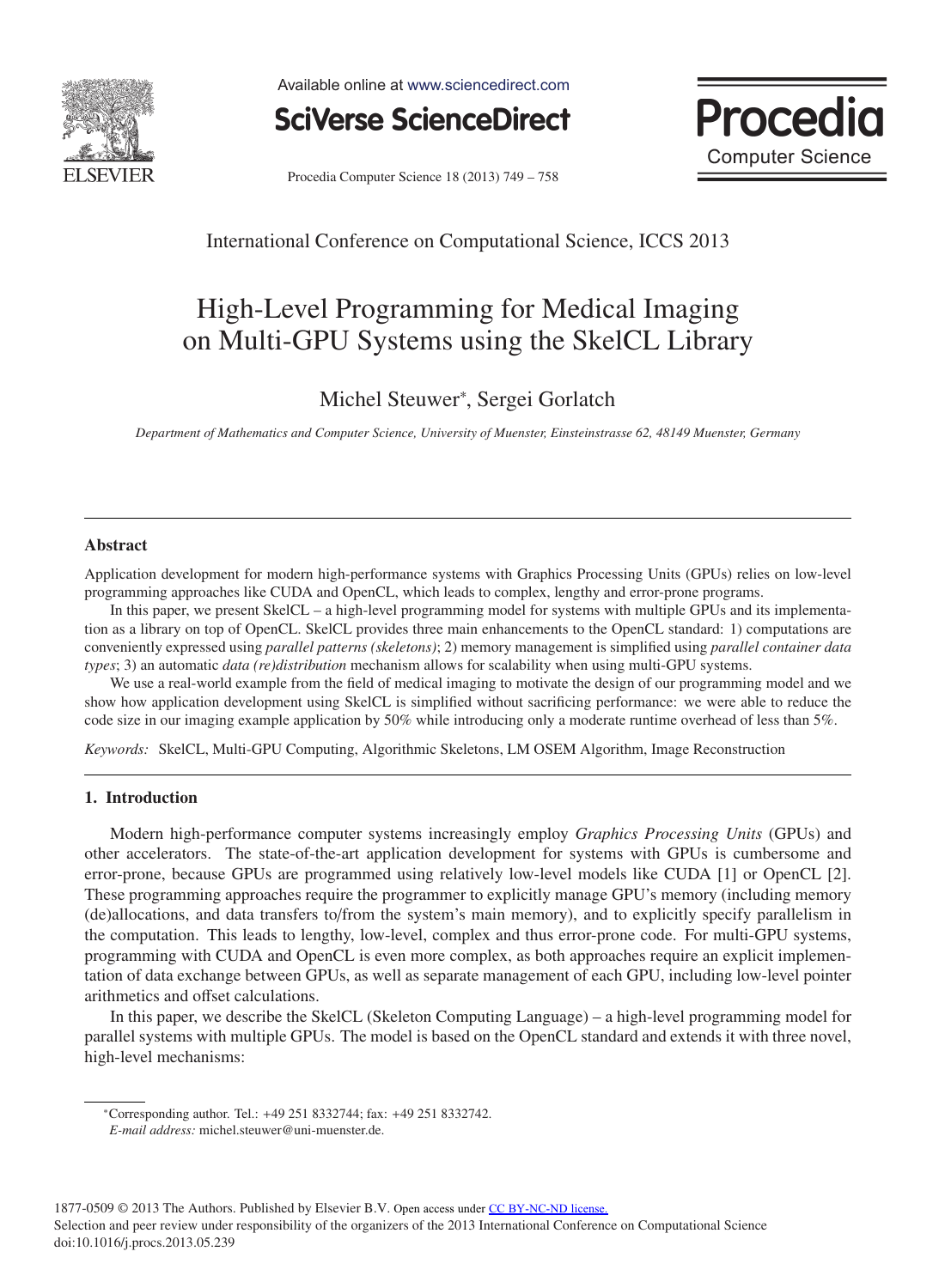

Available online at www.sciencedirect.com





Procedia Computer Science 18 (2013) 749 - 758

# International Conference on Computational Science, ICCS 2013

# High-Level Programming for Medical Imaging on Multi-GPU Systems using the SkelCL Library

# Michel Steuwer∗ , Sergei Gorlatch

*Department of Mathematics and Computer Science, University of Muenster, Einsteinstrasse 62, 48149 Muenster, Germany*

# Abstract

Application development for modern high-performance systems with Graphics Processing Units (GPUs) relies on low-level programming approaches like CUDA and OpenCL, which leads to complex, lengthy and error-prone programs.

In this paper, we present SkelCL – a high-level programming model for systems with multiple GPUs and its implementation as a library on top of OpenCL. SkelCL provides three main enhancements to the OpenCL standard: 1) computations are conveniently expressed using *parallel patterns (skeletons)*; 2) memory management is simplified using *parallel container data types*; 3) an automatic *data (re)distribution* mechanism allows for scalability when using multi-GPU systems.

We use a real-world example from the field of medical imaging to motivate the design of our programming model and we show how application development using SkelCL is simplified without sacrificing performance: we were able to reduce the code size in our imaging example application by 50% while introducing only a moderate runtime overhead of less than 5%.

*Keywords:* SkelCL, Multi-GPU Computing, Algorithmic Skeletons, LM OSEM Algorithm, Image Reconstruction

# 1. Introduction

Modern high-performance computer systems increasingly employ *Graphics Processing Units* (GPUs) and other accelerators. The state-of-the-art application development for systems with GPUs is cumbersome and error-prone, because GPUs are programmed using relatively low-level models like CUDA [1] or OpenCL [2]. These programming approaches require the programmer to explicitly manage GPU's memory (including memory (de)allocations, and data transfers to/from the system's main memory), and to explicitly specify parallelism in the computation. This leads to lengthy, low-level, complex and thus error-prone code. For multi-GPU systems, programming with CUDA and OpenCL is even more complex, as both approaches require an explicit implementation of data exchange between GPUs, as well as separate management of each GPU, including low-level pointer arithmetics and offset calculations.

In this paper, we describe the SkelCL (Skeleton Computing Language) – a high-level programming model for parallel systems with multiple GPUs. The model is based on the OpenCL standard and extends it with three novel, high-level mechanisms:

1877-0509 © 2013 The Authors. Published by Elsevier B.V. Open access under [CC BY-NC-ND license.](http://creativecommons.org/licenses/by-nc-nd/3.0/)Selection and peer review under responsibility of the organizers of the 2013 International Conference on Computational Science

doi: 10.1016/j.procs.2013.05.239

<sup>∗</sup>Corresponding author. Tel.: +49 251 8332744; fax: +49 251 8332742. *E-mail address:* michel.steuwer@uni-muenster.de.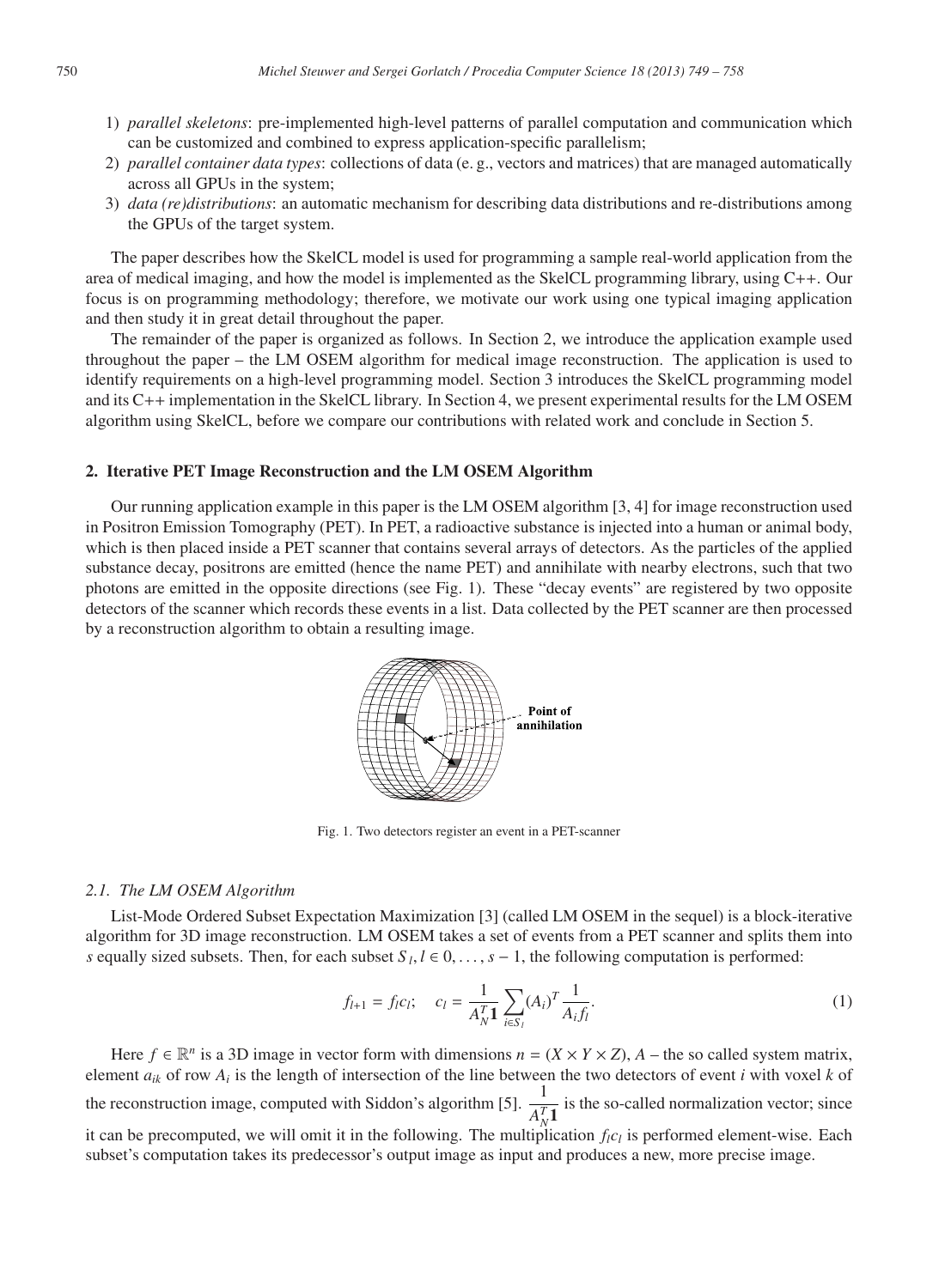- 1) *parallel skeletons*: pre-implemented high-level patterns of parallel computation and communication which can be customized and combined to express application-specific parallelism;
- 2) *parallel container data types*: collections of data (e. g., vectors and matrices) that are managed automatically across all GPUs in the system;
- 3) *data (re)distributions*: an automatic mechanism for describing data distributions and re-distributions among the GPUs of the target system.

The paper describes how the SkelCL model is used for programming a sample real-world application from the area of medical imaging, and how the model is implemented as the SkelCL programming library, using C++. Our focus is on programming methodology; therefore, we motivate our work using one typical imaging application and then study it in great detail throughout the paper.

The remainder of the paper is organized as follows. In Section 2, we introduce the application example used throughout the paper – the LM OSEM algorithm for medical image reconstruction. The application is used to identify requirements on a high-level programming model. Section 3 introduces the SkelCL programming model and its C++ implementation in the SkelCL library. In Section 4, we present experimental results for the LM OSEM algorithm using SkelCL, before we compare our contributions with related work and conclude in Section 5.

### 2. Iterative PET Image Reconstruction and the LM OSEM Algorithm

Our running application example in this paper is the LM OSEM algorithm [3, 4] for image reconstruction used in Positron Emission Tomography (PET). In PET, a radioactive substance is injected into a human or animal body, which is then placed inside a PET scanner that contains several arrays of detectors. As the particles of the applied substance decay, positrons are emitted (hence the name PET) and annihilate with nearby electrons, such that two photons are emitted in the opposite directions (see Fig. 1). These "decay events" are registered by two opposite detectors of the scanner which records these events in a list. Data collected by the PET scanner are then processed by a reconstruction algorithm to obtain a resulting image.



Fig. 1. Two detectors register an event in a PET-scanner

#### *2.1. The LM OSEM Algorithm*

List-Mode Ordered Subset Expectation Maximization [3] (called LM OSEM in the sequel) is a block-iterative algorithm for 3D image reconstruction. LM OSEM takes a set of events from a PET scanner and splits them into *s* equally sized subsets. Then, for each subset  $S_l, l \in 0, \ldots, s-1$ , the following computation is performed:

$$
f_{l+1} = f_l c_l; \quad c_l = \frac{1}{A_N^T 1} \sum_{i \in S_l} (A_i)^T \frac{1}{A_i f_l}.
$$
 (1)

Here  $f \in \mathbb{R}^n$  is a 3D image in vector form with dimensions  $n = (X \times Y \times Z)$ ,  $A$  – the so called system matrix, element *aik* of row *Ai* is the length of intersection of the line between the two detectors of event *i* with voxel *k* of the reconstruction image, computed with Siddon's algorithm [5].  $\frac{1}{A_N^T 1}$  is the so-called normalization vector; since it can be precomputed, we will omit it in the following. The multiplication  $f<sub>l</sub>c<sub>l</sub>$  is performed element-wise. Each subset's computation takes its predecessor's output image as input and produces a new, more precise image.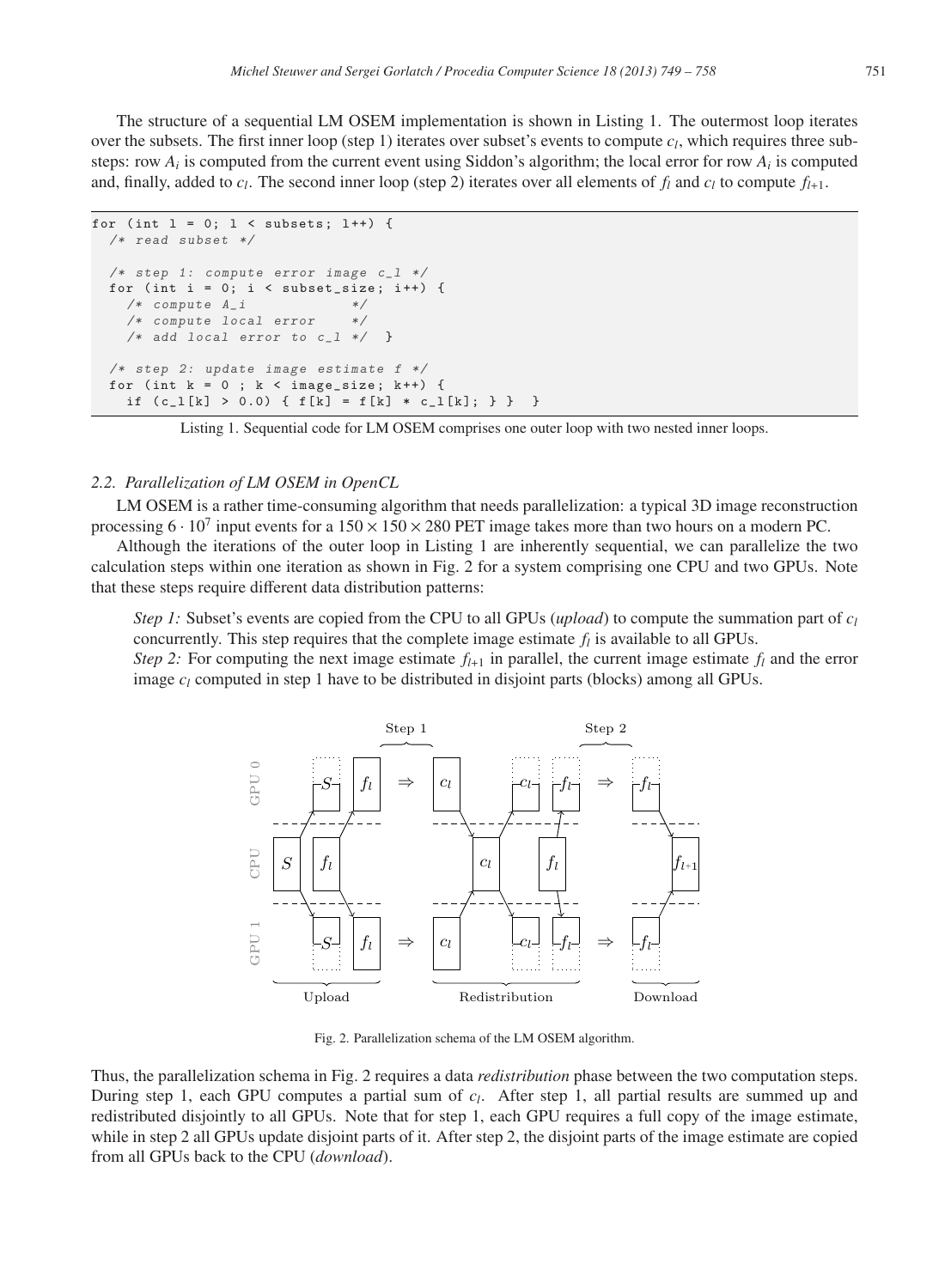The structure of a sequential LM OSEM implementation is shown in Listing 1. The outermost loop iterates over the subsets. The first inner loop (step 1) iterates over subset's events to compute  $c_l$ , which requires three substeps: row *Ai* is computed from the current event using Siddon's algorithm; the local error for row *Ai* is computed and, finally, added to  $c_l$ . The second inner loop (step 2) iterates over all elements of  $f_l$  and  $c_l$  to compute  $f_{l+1}$ .

```
for (int l = 0; l \leq subsets; l++) {
  /* read subset *//* step 1: compute error image c_l */
 for (int i = 0; i \leq subset_size; i++) {
    /* compute A_i */* compute local error */
    /* add local error to c_1 */ }
  /* step 2: update image estimate f * /for (int k = 0; k < 1 image_size; k++) {
    if (c_l[k] > 0.0) { f[k] = f[k] * c_l[k]; } } }
```


#### *2.2. Parallelization of LM OSEM in OpenCL*

LM OSEM is a rather time-consuming algorithm that needs parallelization: a typical 3D image reconstruction processing  $6 \cdot 10^7$  input events for a  $150 \times 150 \times 280$  PET image takes more than two hours on a modern PC.

Although the iterations of the outer loop in Listing 1 are inherently sequential, we can parallelize the two calculation steps within one iteration as shown in Fig. 2 for a system comprising one CPU and two GPUs. Note that these steps require different data distribution patterns:

*Step 1:* Subset's events are copied from the CPU to all GPUs (*upload*) to compute the summation part of *c*<sub>l</sub> concurrently. This step requires that the complete image estimate  $f_l$  is available to all GPUs.

*Step 2:* For computing the next image estimate  $f_{l+1}$  in parallel, the current image estimate  $f_l$  and the error image  $c_l$  computed in step 1 have to be distributed in disjoint parts (blocks) among all GPUs.



Fig. 2. Parallelization schema of the LM OSEM algorithm.

Thus, the parallelization schema in Fig. 2 requires a data *redistribution* phase between the two computation steps. During step 1, each GPU computes a partial sum of *cl*. After step 1, all partial results are summed up and redistributed disjointly to all GPUs. Note that for step 1, each GPU requires a full copy of the image estimate, while in step 2 all GPUs update disjoint parts of it. After step 2, the disjoint parts of the image estimate are copied from all GPUs back to the CPU (*download*).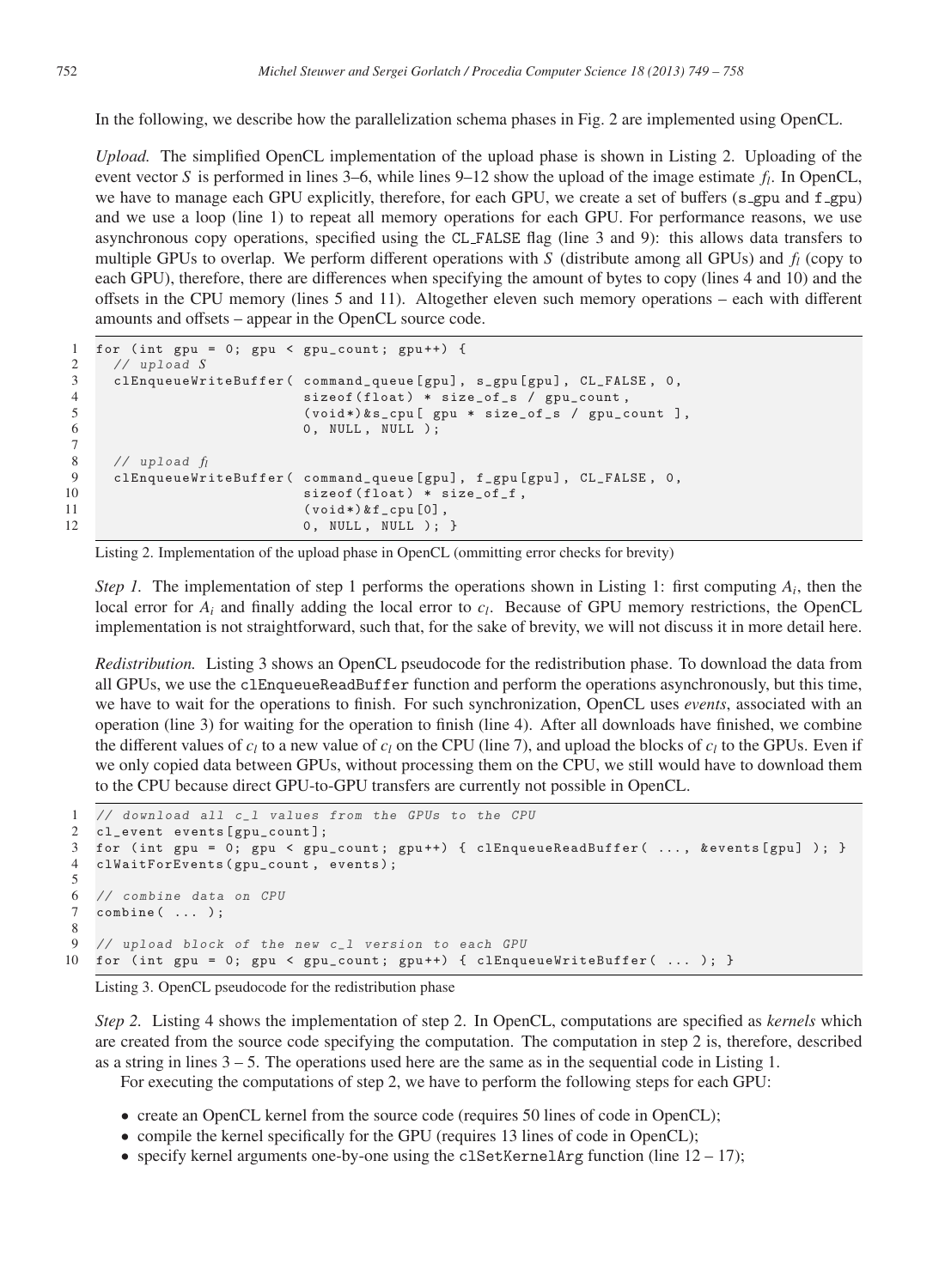In the following, we describe how the parallelization schema phases in Fig. 2 are implemented using OpenCL.

*Upload.* The simplified OpenCL implementation of the upload phase is shown in Listing 2. Uploading of the event vector *S* is performed in lines 3–6, while lines 9–12 show the upload of the image estimate  $f_l$ . In OpenCL, we have to manage each GPU explicitly, therefore, for each GPU, we create a set of buffers ( $s$ -gpu and  $f$ -gpu) and we use a loop (line 1) to repeat all memory operations for each GPU. For performance reasons, we use asynchronous copy operations, specified using the CL FALSE flag (line 3 and 9): this allows data transfers to multiple GPUs to overlap. We perform different operations with  $S$  (distribute among all GPUs) and  $f_l$  (copy to each GPU), therefore, there are differences when specifying the amount of bytes to copy (lines 4 and 10) and the offsets in the CPU memory (lines 5 and 11). Altogether eleven such memory operations – each with different amounts and offsets – appear in the OpenCL source code.

```
1 for (int gpu = 0; gpu < gpu_count; gpu++) {<br>2 // upload S
2 // upload S
3 clEnqueueWriteBuffer(command_queue[gpu], s_gpu[gpu], CL_FALSE, 0,<br>4 sizeof(float) * size of s / gpu count.
 4 sizeof(float) * size_of_s / gpu_count,<br>5 (void*) & s_cpu[gpu * size_of_s / gpu_c
                                     5 (void*)&s_cpu[ gpu * size_of_s / gpu_count ],
 6 0, NULL , NULL );
7
\begin{array}{c|c}\n8 & // \text{ upload } f_l \\
9 & \text{cl} \text{ Fronuens} \\
\end{array}9 clEnqueueWriteBuffer(command_queue[gpu], f_gpu[gpu], CL_FALSE, 0,<br>10 sizeof(float) * size_of_f,
                                     size of (float) * size_of_f,
11 (void*) & f_cpu[0],<br>
12 0. NULL. NULL.):
                                     0, NULL, NULL ); }
```
Listing 2. Implementation of the upload phase in OpenCL (ommitting error checks for brevity)

*Step 1.* The implementation of step 1 performs the operations shown in Listing 1: first computing *Ai*, then the local error for  $A_i$  and finally adding the local error to  $c_i$ . Because of GPU memory restrictions, the OpenCL implementation is not straightforward, such that, for the sake of brevity, we will not discuss it in more detail here.

*Redistribution.* Listing 3 shows an OpenCL pseudocode for the redistribution phase. To download the data from all GPUs, we use the clEnqueueReadBuffer function and perform the operations asynchronously, but this time, we have to wait for the operations to finish. For such synchronization, OpenCL uses *events*, associated with an operation (line 3) for waiting for the operation to finish (line 4). After all downloads have finished, we combine the different values of  $c_l$  to a new value of  $c_l$  on the CPU (line 7), and upload the blocks of  $c_l$  to the GPUs. Even if we only copied data between GPUs, without processing them on the CPU, we still would have to download them to the CPU because direct GPU-to-GPU transfers are currently not possible in OpenCL.

```
1 // download all c_l values from the GPUs to the CPU
2 cl_event events[gpu_count];
3 for (int gpu = 0; gpu < gpu_count; gpu++) { clEnqueueReadBuffer( ..., &events[gpu] ); }<br>4 clWaitForEvents(gpu_count, events):
   clWaitForEvents(gpu_count, events);
5
6 // combine data on CPU
7 combine( ... );
8
9 // upload block of the new c_l version to each GPU
10 for (int gpu = 0; gpu < gpu_count; gpu++) { clEnqueueWriteBuffer( ... ); }
```
Listing 3. OpenCL pseudocode for the redistribution phase

*Step 2.* Listing 4 shows the implementation of step 2. In OpenCL, computations are specified as *kernels* which are created from the source code specifying the computation. The computation in step 2 is, therefore, described as a string in lines  $3 - 5$ . The operations used here are the same as in the sequential code in Listing 1.

For executing the computations of step 2, we have to perform the following steps for each GPU:

- create an OpenCL kernel from the source code (requires 50 lines of code in OpenCL);
- compile the kernel specifically for the GPU (requires 13 lines of code in OpenCL);
- specify kernel arguments one-by-one using the clSetKernelArg function (line  $12 17$ );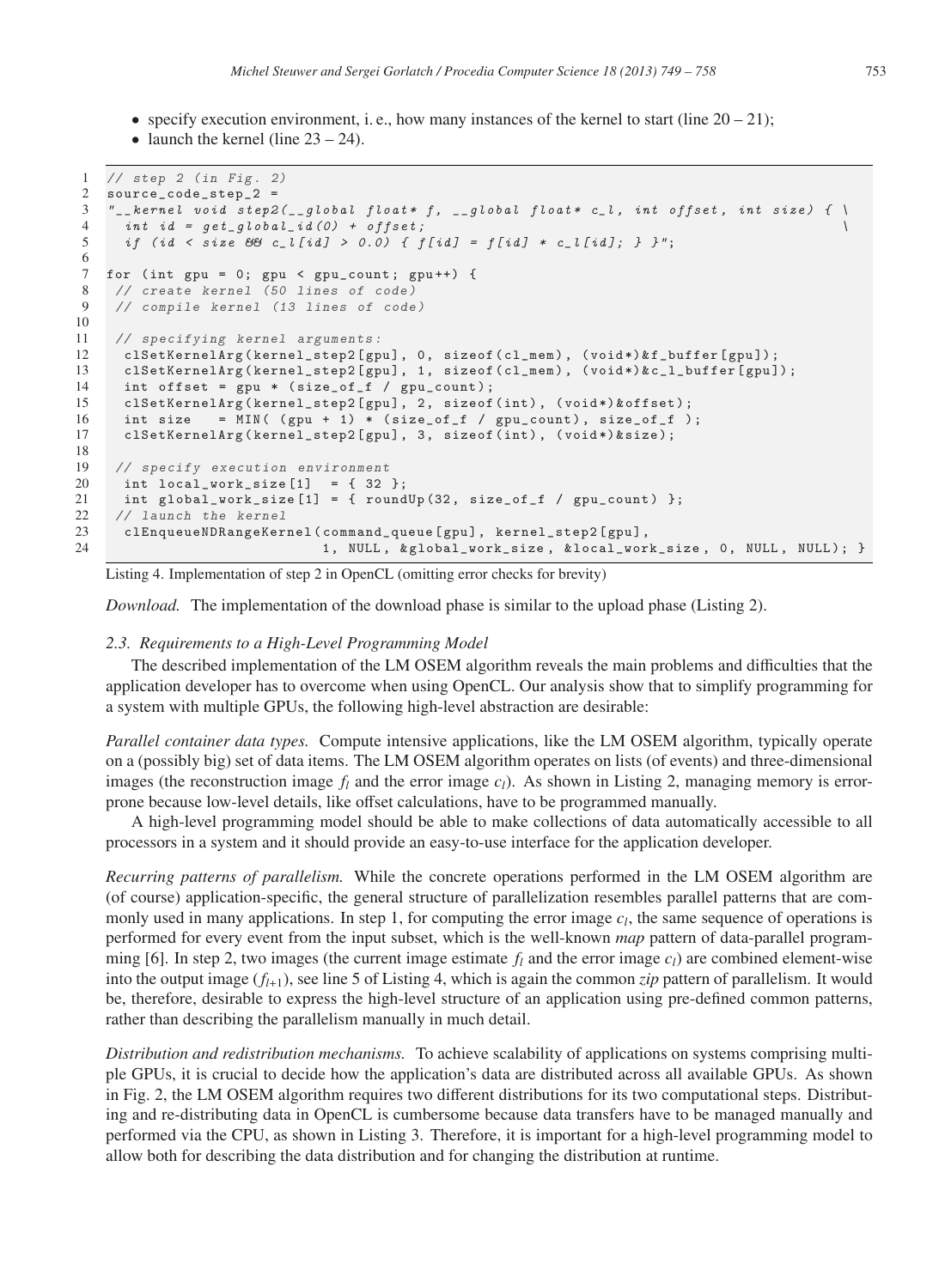- specify execution environment, i.e., how many instances of the kernel to start (line  $20 21$ );
- launch the kernel (line  $23 24$ ).

```
1 // step 2 (in Fig. 2)
2 source_code_step_2 =
3 "_kernel void step2(_global float* f, _global float* c_l, int offset, int size) { \
4 int id = get\_global\_id (0) + offset;<br>5 if (id < size & c l[id] > 0.0) f
      if (id < size 66 c_l[id] > 0.0) { f[id] = f[id] * c_l[id]; } }";
6
7 for (int gpu = 0; gpu < gpu_count; gpu++) {
8 // create kernel (50 lines of code)
9 // compile kernel (13 lines of code)
10
11 // specifying kernel arguments:
12 clSetKernelArg(kernel_step2[gpu], 0, sizeof(cl_mem), (void*)&f_buffer[gpu]);<br>13 clSetKernelArg(kernel_step2[gpu], 1, sizeof(cl_mem), (void*)&c_l_buffer[gpu]
      13 clSetKernelArg(kernel_step2[gpu ], 1, sizeof(cl_mem), ( void*)&c_l_buffer[gpu]);
14 int offset = gpu * (size_of_f / gpu_count);<br>15 clSetKernelArg(kernel step2[gpu], 2, sizeof
      15 clSetKernelArg(kernel_step2[gpu], 2, sizeof(int), ( void*)&offset);
16 int size = MIN( (gpu + 1) * (size_of_f / gpu_count), size_of_f );17 clSetKernelArg(kernel_step2[gpu], 3, sizeof(int), ( void*)&size);
18
19 // specify execution environment
20 int local_work_size [1] = \{ 32 \};<br>21 int global work size [1] = \{ round
     int global_work_size[1] = { roundUp(32, size_of_f / gpu_count) };
22 // launch the kernel<br>23 clEnqueueNDRangeKer
      23 clEnqueueNDRangeKernel(command_queue[gpu], kernel_step2[gpu],
24 1, NULL, &global_work_size, &local_work_size, 0, NULL, NULL); }
```
Listing 4. Implementation of step 2 in OpenCL (omitting error checks for brevity)

*Download.* The implementation of the download phase is similar to the upload phase (Listing 2).

#### *2.3. Requirements to a High-Level Programming Model*

The described implementation of the LM OSEM algorithm reveals the main problems and difficulties that the application developer has to overcome when using OpenCL. Our analysis show that to simplify programming for a system with multiple GPUs, the following high-level abstraction are desirable:

*Parallel container data types.* Compute intensive applications, like the LM OSEM algorithm, typically operate on a (possibly big) set of data items. The LM OSEM algorithm operates on lists (of events) and three-dimensional images (the reconstruction image  $f_l$  and the error image  $c_l$ ). As shown in Listing 2, managing memory is errorprone because low-level details, like offset calculations, have to be programmed manually.

A high-level programming model should be able to make collections of data automatically accessible to all processors in a system and it should provide an easy-to-use interface for the application developer.

*Recurring patterns of parallelism.* While the concrete operations performed in the LM OSEM algorithm are (of course) application-specific, the general structure of parallelization resembles parallel patterns that are commonly used in many applications. In step 1, for computing the error image  $c_l$ , the same sequence of operations is performed for every event from the input subset, which is the well-known *map* pattern of data-parallel programming [6]. In step 2, two images (the current image estimate  $f_l$  and the error image  $c_l$ ) are combined element-wise into the output image  $(f_{l+1})$ , see line 5 of Listing 4, which is again the common *zip* pattern of parallelism. It would be, therefore, desirable to express the high-level structure of an application using pre-defined common patterns, rather than describing the parallelism manually in much detail.

*Distribution and redistribution mechanisms.* To achieve scalability of applications on systems comprising multiple GPUs, it is crucial to decide how the application's data are distributed across all available GPUs. As shown in Fig. 2, the LM OSEM algorithm requires two different distributions for its two computational steps. Distributing and re-distributing data in OpenCL is cumbersome because data transfers have to be managed manually and performed via the CPU, as shown in Listing 3. Therefore, it is important for a high-level programming model to allow both for describing the data distribution and for changing the distribution at runtime.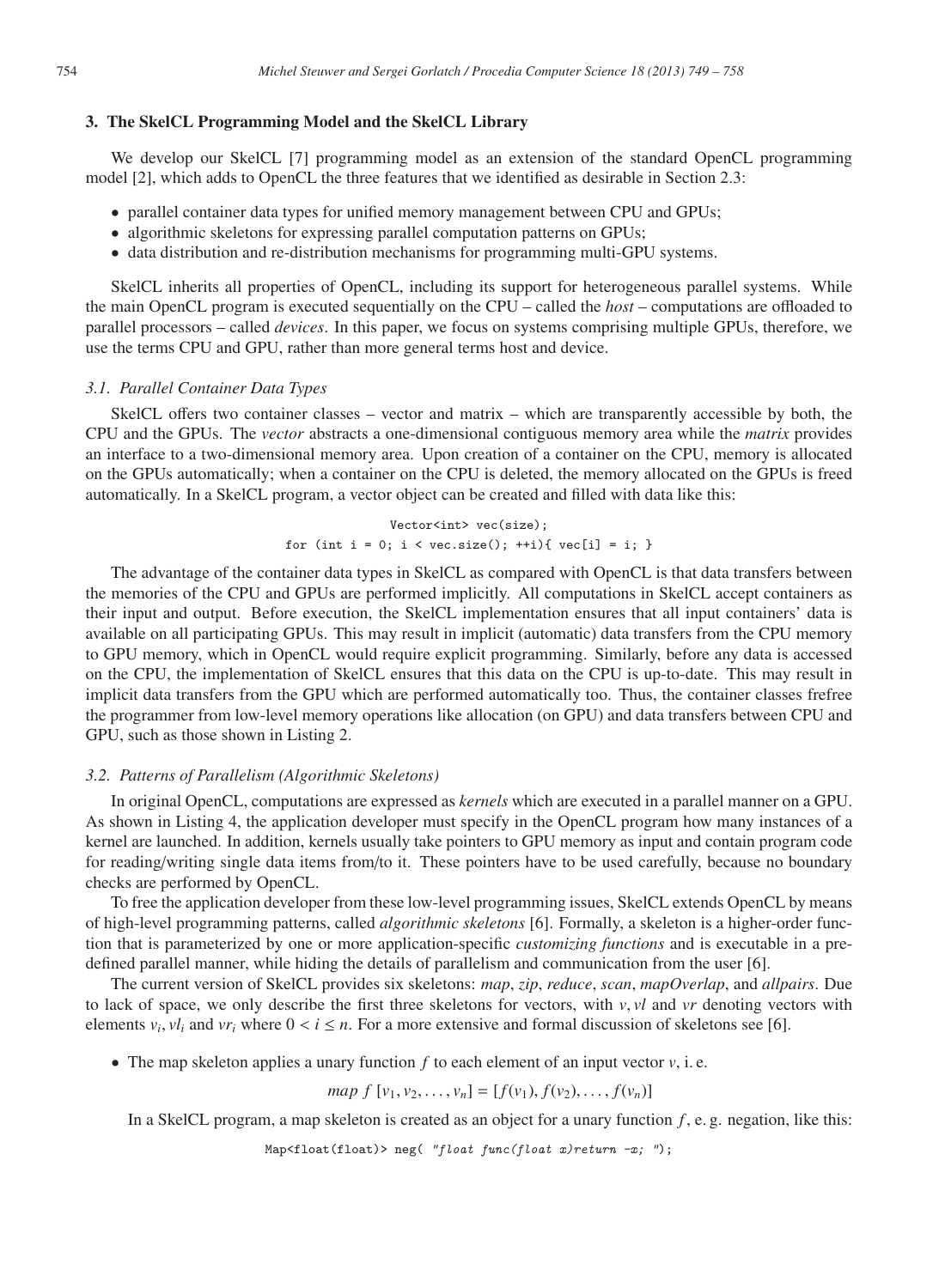# 3. The SkelCL Programming Model and the SkelCL Library

We develop our SkelCL [7] programming model as an extension of the standard OpenCL programming model [2], which adds to OpenCL the three features that we identified as desirable in Section 2.3:

- parallel container data types for unified memory management between CPU and GPUs;
- algorithmic skeletons for expressing parallel computation patterns on GPUs;
- data distribution and re-distribution mechanisms for programming multi-GPU systems.

SkelCL inherits all properties of OpenCL, including its support for heterogeneous parallel systems. While the main OpenCL program is executed sequentially on the CPU – called the *host* – computations are offloaded to parallel processors – called *devices*. In this paper, we focus on systems comprising multiple GPUs, therefore, we use the terms CPU and GPU, rather than more general terms host and device.

## *3.1. Parallel Container Data Types*

SkelCL offers two container classes – vector and matrix – which are transparently accessible by both, the CPU and the GPUs. The *vector* abstracts a one-dimensional contiguous memory area while the *matrix* provides an interface to a two-dimensional memory area. Upon creation of a container on the CPU, memory is allocated on the GPUs automatically; when a container on the CPU is deleted, the memory allocated on the GPUs is freed automatically. In a SkelCL program, a vector object can be created and filled with data like this:

$$
Vector over (size);
$$
\n
$$
for (int i = 0; i < vec.size(); ++i){\{vec[i] = i; }\}
$$

The advantage of the container data types in SkelCL as compared with OpenCL is that data transfers between the memories of the CPU and GPUs are performed implicitly. All computations in SkelCL accept containers as their input and output. Before execution, the SkelCL implementation ensures that all input containers' data is available on all participating GPUs. This may result in implicit (automatic) data transfers from the CPU memory to GPU memory, which in OpenCL would require explicit programming. Similarly, before any data is accessed on the CPU, the implementation of SkelCL ensures that this data on the CPU is up-to-date. This may result in implicit data transfers from the GPU which are performed automatically too. Thus, the container classes frefree the programmer from low-level memory operations like allocation (on GPU) and data transfers between CPU and GPU, such as those shown in Listing 2.

## *3.2. Patterns of Parallelism (Algorithmic Skeletons)*

In original OpenCL, computations are expressed as *kernels* which are executed in a parallel manner on a GPU. As shown in Listing 4, the application developer must specify in the OpenCL program how many instances of a kernel are launched. In addition, kernels usually take pointers to GPU memory as input and contain program code for reading/writing single data items from/to it. These pointers have to be used carefully, because no boundary checks are performed by OpenCL.

To free the application developer from these low-level programming issues, SkelCL extends OpenCL by means of high-level programming patterns, called *algorithmic skeletons* [6]. Formally, a skeleton is a higher-order function that is parameterized by one or more application-specific *customizing functions* and is executable in a predefined parallel manner, while hiding the details of parallelism and communication from the user [6].

The current version of SkelCL provides six skeletons: *map*, *zip*, *reduce*, *scan*, *mapOverlap*, and *allpairs*. Due to lack of space, we only describe the first three skeletons for vectors, with  $v$ ,  $vl$  and  $vr$  denoting vectors with elements  $v_i$ ,  $vl_i$  and  $vr_i$  where  $0 < i \leq n$ . For a more extensive and formal discussion of skeletons see [6].

• The map skeleton applies a unary function *f* to each element of an input vector *v*, i. e.

*map*  $f[v_1, v_2, \ldots, v_n] = [f(v_1), f(v_2), \ldots, f(v_n)]$ 

In a SkelCL program, a map skeleton is created as an object for a unary function *f* , e. g. negation, like this:

Map<float(float)> neg( "float func(float x)return -x; ");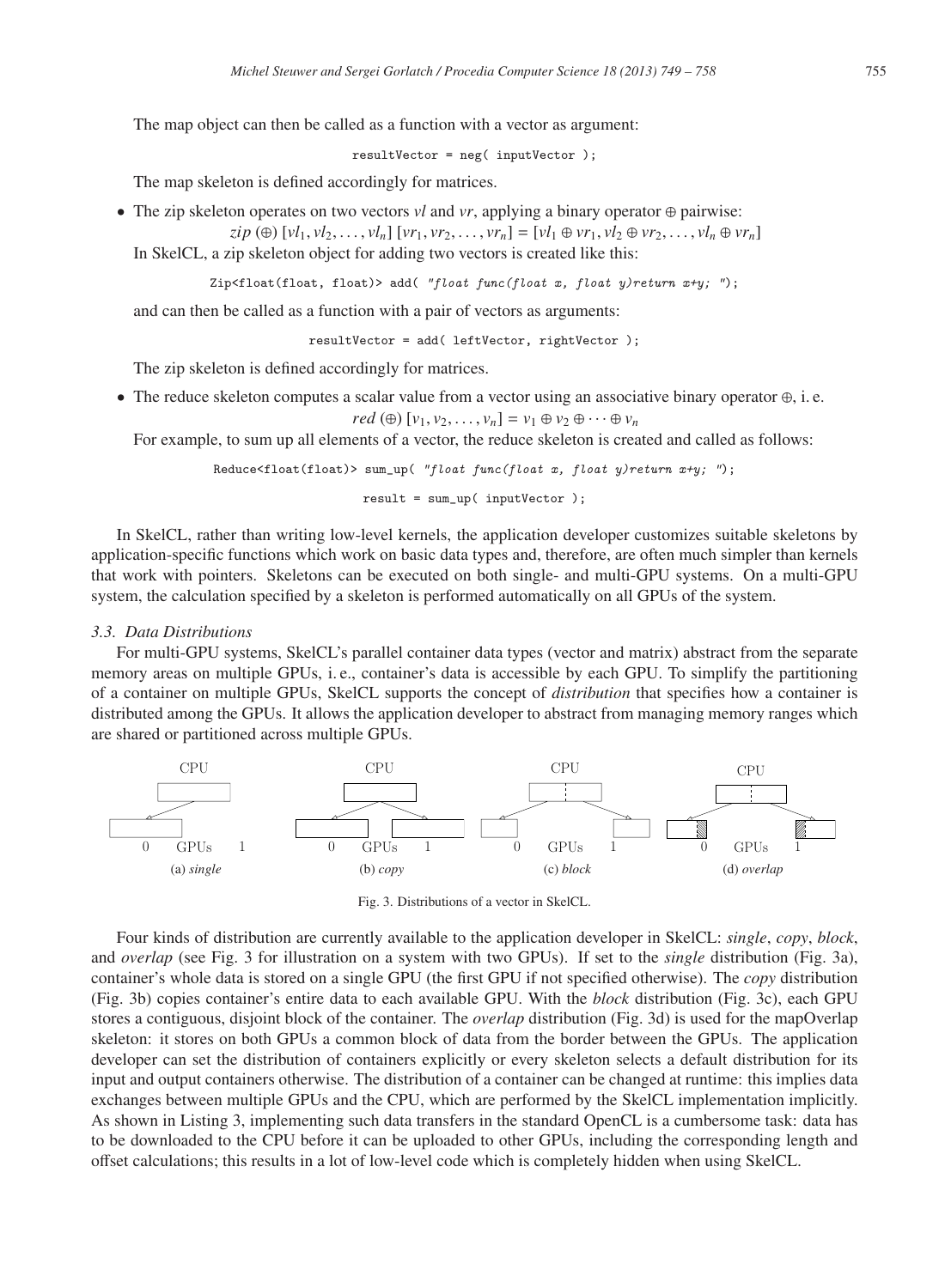The map object can then be called as a function with a vector as argument:

resultVector = neg( inputVector );

The map skeleton is defined accordingly for matrices.

- The zip skeleton operates on two vectors *vl* and *vr*, applying a binary operator ⊕ pairwise:  $zip \in [vl_1, vl_2, \ldots, vl_n]$   $[vr_1, vr_2, \ldots, vr_n] = [vl_1 \oplus vr_1, vl_2 \oplus vr_2, \ldots, vl_n \oplus vr_n]$ 
	- In SkelCL, a zip skeleton object for adding two vectors is created like this:

 $Zip \text{float}(\text{float}) > add('float)$  float func(float x, float y)return  $x+y$ ; ");

and can then be called as a function with a pair of vectors as arguments:

resultVector = add( leftVector, rightVector );

The zip skeleton is defined accordingly for matrices.

• The reduce skeleton computes a scalar value from a vector using an associative binary operator ⊕, i. e.

 $red \ (\oplus) \ [v_1, v_2, \ldots, v_n] = v_1 \oplus v_2 \oplus \cdots \oplus v_n$ 

For example, to sum up all elements of a vector, the reduce skeleton is created and called as follows:

Reduce<float(float)> sum\_up( "float func(float x, float y)return  $x+y$ ; ");

result = sum\_up( inputVector );

In SkelCL, rather than writing low-level kernels, the application developer customizes suitable skeletons by application-specific functions which work on basic data types and, therefore, are often much simpler than kernels that work with pointers. Skeletons can be executed on both single- and multi-GPU systems. On a multi-GPU system, the calculation specified by a skeleton is performed automatically on all GPUs of the system.

# *3.3. Data Distributions*

For multi-GPU systems, SkelCL's parallel container data types (vector and matrix) abstract from the separate memory areas on multiple GPUs, i. e., container's data is accessible by each GPU. To simplify the partitioning of a container on multiple GPUs, SkelCL supports the concept of *distribution* that specifies how a container is distributed among the GPUs. It allows the application developer to abstract from managing memory ranges which are shared or partitioned across multiple GPUs.





Four kinds of distribution are currently available to the application developer in SkelCL: *single*, *copy*, *block*, and *overlap* (see Fig. 3 for illustration on a system with two GPUs). If set to the *single* distribution (Fig. 3a), container's whole data is stored on a single GPU (the first GPU if not specified otherwise). The *copy* distribution (Fig. 3b) copies container's entire data to each available GPU. With the *block* distribution (Fig. 3c), each GPU stores a contiguous, disjoint block of the container. The *overlap* distribution (Fig. 3d) is used for the mapOverlap skeleton: it stores on both GPUs a common block of data from the border between the GPUs. The application developer can set the distribution of containers explicitly or every skeleton selects a default distribution for its input and output containers otherwise. The distribution of a container can be changed at runtime: this implies data exchanges between multiple GPUs and the CPU, which are performed by the SkelCL implementation implicitly. As shown in Listing 3, implementing such data transfers in the standard OpenCL is a cumbersome task: data has to be downloaded to the CPU before it can be uploaded to other GPUs, including the corresponding length and offset calculations; this results in a lot of low-level code which is completely hidden when using SkelCL.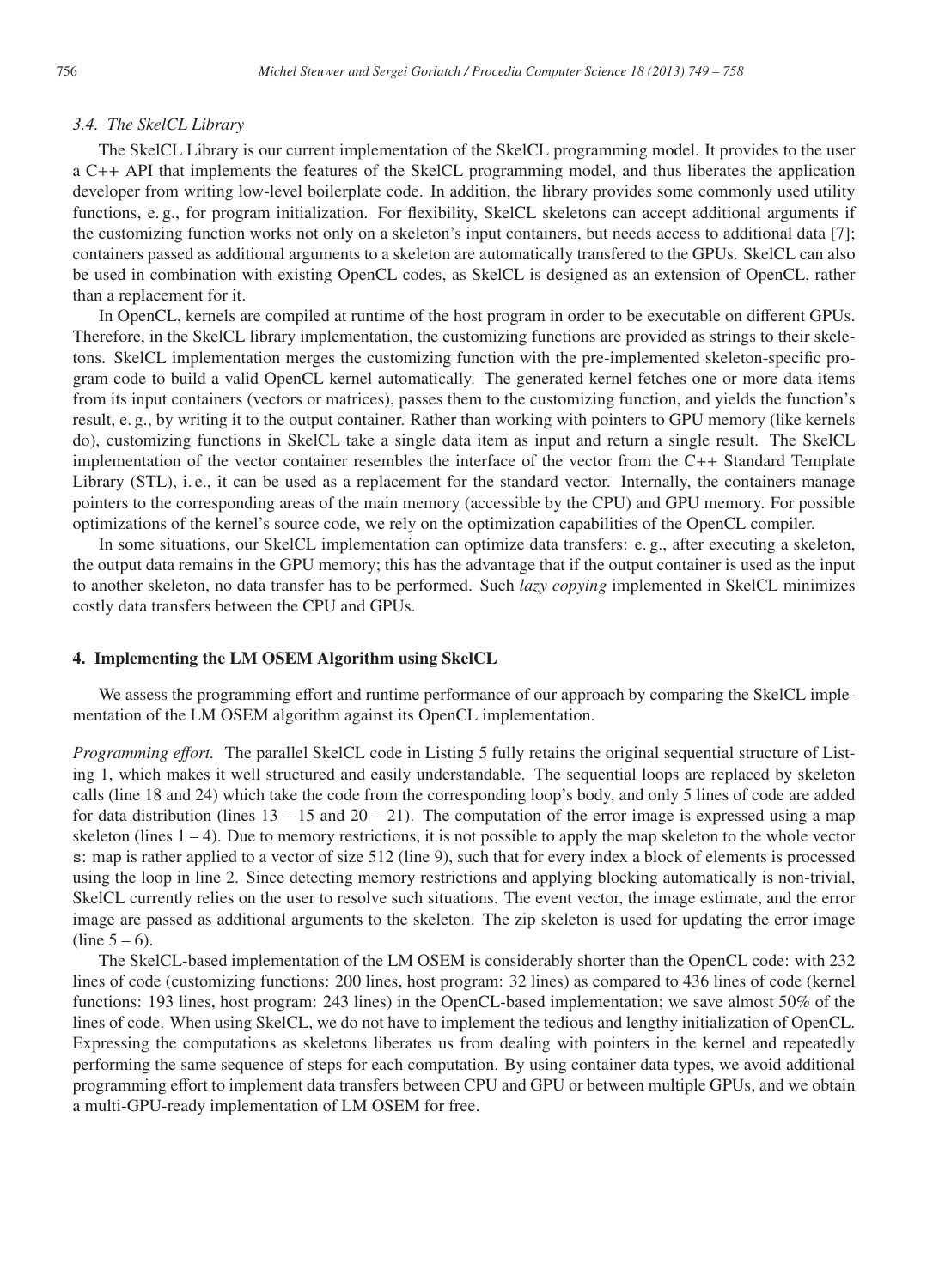# *3.4. The SkelCL Library*

The SkelCL Library is our current implementation of the SkelCL programming model. It provides to the user a C++ API that implements the features of the SkelCL programming model, and thus liberates the application developer from writing low-level boilerplate code. In addition, the library provides some commonly used utility functions, e. g., for program initialization. For flexibility, SkelCL skeletons can accept additional arguments if the customizing function works not only on a skeleton's input containers, but needs access to additional data [7]; containers passed as additional arguments to a skeleton are automatically transfered to the GPUs. SkelCL can also be used in combination with existing OpenCL codes, as SkelCL is designed as an extension of OpenCL, rather than a replacement for it.

In OpenCL, kernels are compiled at runtime of the host program in order to be executable on different GPUs. Therefore, in the SkelCL library implementation, the customizing functions are provided as strings to their skeletons. SkelCL implementation merges the customizing function with the pre-implemented skeleton-specific program code to build a valid OpenCL kernel automatically. The generated kernel fetches one or more data items from its input containers (vectors or matrices), passes them to the customizing function, and yields the function's result, e. g., by writing it to the output container. Rather than working with pointers to GPU memory (like kernels do), customizing functions in SkelCL take a single data item as input and return a single result. The SkelCL implementation of the vector container resembles the interface of the vector from the C++ Standard Template Library (STL), i.e., it can be used as a replacement for the standard vector. Internally, the containers manage pointers to the corresponding areas of the main memory (accessible by the CPU) and GPU memory. For possible optimizations of the kernel's source code, we rely on the optimization capabilities of the OpenCL compiler.

In some situations, our SkelCL implementation can optimize data transfers: e. g., after executing a skeleton, the output data remains in the GPU memory; this has the advantage that if the output container is used as the input to another skeleton, no data transfer has to be performed. Such *lazy copying* implemented in SkelCL minimizes costly data transfers between the CPU and GPUs.

## 4. Implementing the LM OSEM Algorithm using SkelCL

We assess the programming effort and runtime performance of our approach by comparing the SkelCL implementation of the LM OSEM algorithm against its OpenCL implementation.

*Programming e*ff*ort.* The parallel SkelCL code in Listing 5 fully retains the original sequential structure of Listing 1, which makes it well structured and easily understandable. The sequential loops are replaced by skeleton calls (line 18 and 24) which take the code from the corresponding loop's body, and only 5 lines of code are added for data distribution (lines  $13 - 15$  and  $20 - 21$ ). The computation of the error image is expressed using a map skeleton (lines 1 – 4). Due to memory restrictions, it is not possible to apply the map skeleton to the whole vector s: map is rather applied to a vector of size 512 (line 9), such that for every index a block of elements is processed using the loop in line 2. Since detecting memory restrictions and applying blocking automatically is non-trivial, SkelCL currently relies on the user to resolve such situations. The event vector, the image estimate, and the error image are passed as additional arguments to the skeleton. The zip skeleton is used for updating the error image  $(line 5 – 6).$ 

The SkelCL-based implementation of the LM OSEM is considerably shorter than the OpenCL code: with 232 lines of code (customizing functions: 200 lines, host program: 32 lines) as compared to 436 lines of code (kernel functions: 193 lines, host program: 243 lines) in the OpenCL-based implementation; we save almost 50% of the lines of code. When using SkelCL, we do not have to implement the tedious and lengthy initialization of OpenCL. Expressing the computations as skeletons liberates us from dealing with pointers in the kernel and repeatedly performing the same sequence of steps for each computation. By using container data types, we avoid additional programming effort to implement data transfers between CPU and GPU or between multiple GPUs, and we obtain a multi-GPU-ready implementation of LM OSEM for free.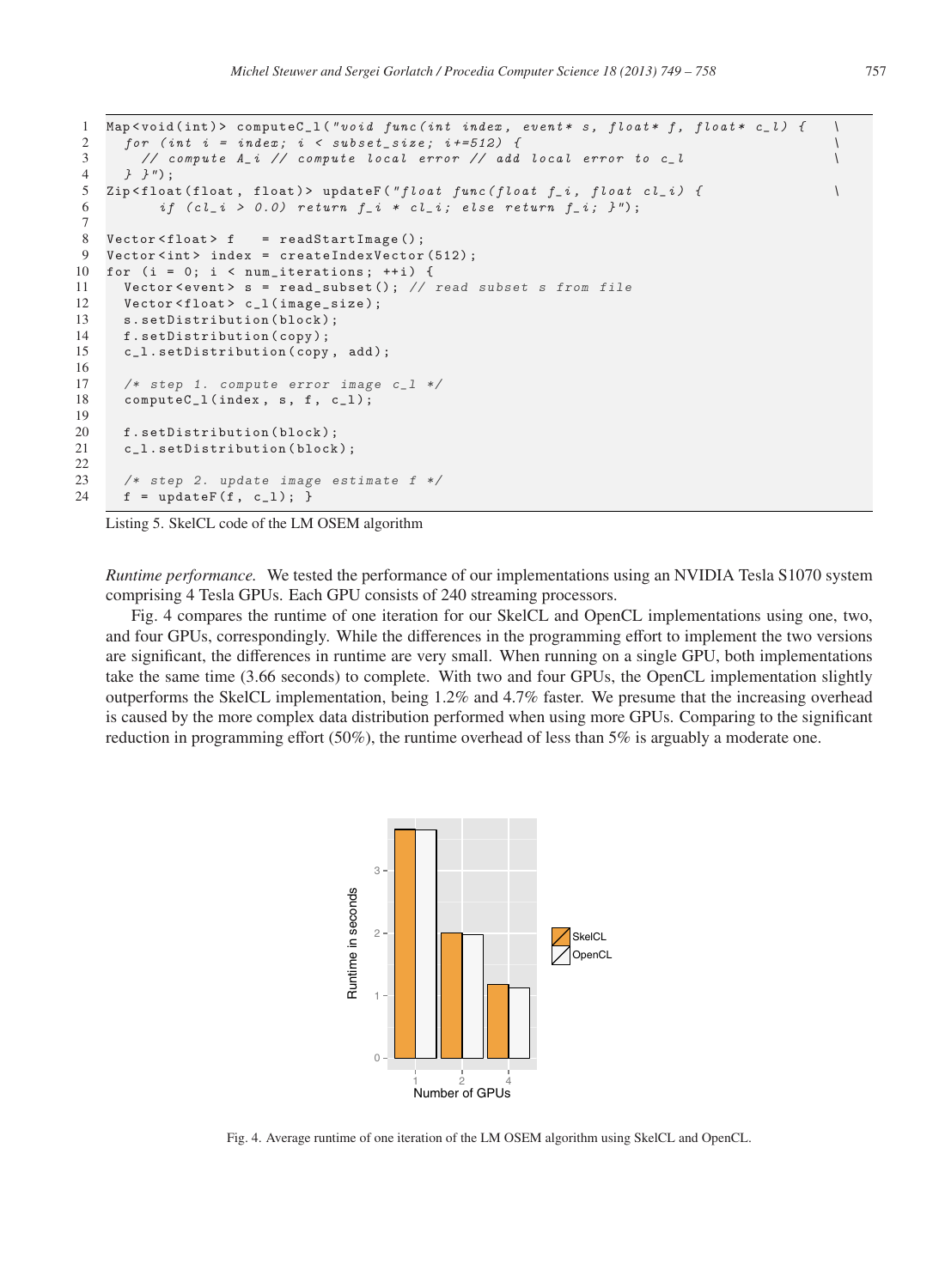```
1 Map \levoid(int) > computeC_1("void func(int index, event* s, float* f, float* c_l) {<br>2 for (int i = index: i < subset size: i+=512) {
2 for (int i = index; i < subset_size; i+=512) {<br>3 // compute A i // compute local error // add
        // compute A_i i // compute local error // add local error to c_l \downarrow4 } }") ;
5 Zip <float(float, float)> updateF("float func(float f_i, float cl_i) {
6 if (cl_i > 0.0) return f_i * cl_i; else return f_i i; j');
7
8 Vector <float > f = readStartImage();
9 Vector <int > index = createIndexVector (512);
10 for (i = 0; i < num_iterations; ++i) {
11 Vector <event> s = read\_subset(); // read subset s from file
12 Vector <float> c_l(image_size);
13 s.setDistribution(block);<br>14 f.setDistribution(copy);
      f.setDistribution(copy);
15 c_l.setDistribution(copy , add);
16
17 /* step 1. compute error image c_l */
18 computeC<sub>-</sub>1(index, s, f, c<sub>-</sub>1);
19
20 f.setDistribution(block);
21 c_l.setDistribution(block);
22
23 /* step 2. update image estimate f */<br>24 f = updateF(f c 1) · }
      f = updateF(f, c_1);
```
Listing 5. SkelCL code of the LM OSEM algorithm

*Runtime performance.* We tested the performance of our implementations using an NVIDIA Tesla S1070 system comprising 4 Tesla GPUs. Each GPU consists of 240 streaming processors.

Fig. 4 compares the runtime of one iteration for our SkelCL and OpenCL implementations using one, two, and four GPUs, correspondingly. While the differences in the programming effort to implement the two versions are significant, the differences in runtime are very small. When running on a single GPU, both implementations take the same time (3.66 seconds) to complete. With two and four GPUs, the OpenCL implementation slightly outperforms the SkelCL implementation, being 1.2% and 4.7% faster. We presume that the increasing overhead is caused by the more complex data distribution performed when using more GPUs. Comparing to the significant reduction in programming effort (50%), the runtime overhead of less than 5% is arguably a moderate one.



Fig. 4. Average runtime of one iteration of the LM OSEM algorithm using SkelCL and OpenCL.